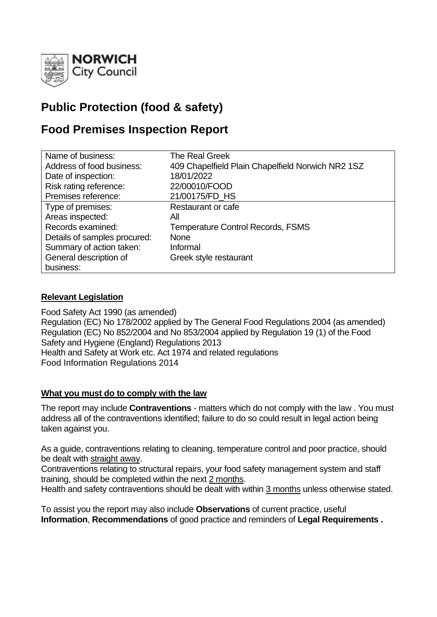

# **Public Protection (food & safety)**

# **Food Premises Inspection Report**

| Name of business:            | <b>The Real Greek</b>                             |
|------------------------------|---------------------------------------------------|
| Address of food business:    | 409 Chapelfield Plain Chapelfield Norwich NR2 1SZ |
| Date of inspection:          | 18/01/2022                                        |
| Risk rating reference:       | 22/00010/FOOD                                     |
| Premises reference:          | 21/00175/FD HS                                    |
| Type of premises:            | Restaurant or cafe                                |
| Areas inspected:             | All                                               |
| Records examined:            | <b>Temperature Control Records, FSMS</b>          |
| Details of samples procured: | <b>None</b>                                       |
| Summary of action taken:     | Informal                                          |
| General description of       | Greek style restaurant                            |
| business:                    |                                                   |

# **Relevant Legislation**

Food Safety Act 1990 (as amended) Regulation (EC) No 178/2002 applied by The General Food Regulations 2004 (as amended) Regulation (EC) No 852/2004 and No 853/2004 applied by Regulation 19 (1) of the Food Safety and Hygiene (England) Regulations 2013 Health and Safety at Work etc. Act 1974 and related regulations Food Information Regulations 2014

### **What you must do to comply with the law**

The report may include **Contraventions** - matters which do not comply with the law . You must address all of the contraventions identified; failure to do so could result in legal action being taken against you.

As a guide, contraventions relating to cleaning, temperature control and poor practice, should be dealt with straight away.

Contraventions relating to structural repairs, your food safety management system and staff training, should be completed within the next 2 months.

Health and safety contraventions should be dealt with within 3 months unless otherwise stated.

To assist you the report may also include **Observations** of current practice, useful **Information**, **Recommendations** of good practice and reminders of **Legal Requirements .**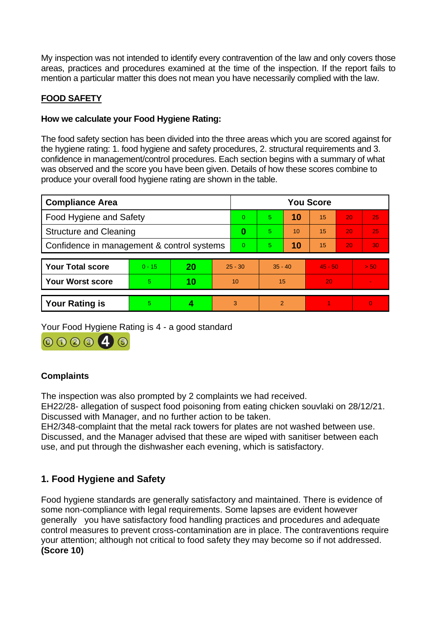My inspection was not intended to identify every contravention of the law and only covers those areas, practices and procedures examined at the time of the inspection. If the report fails to mention a particular matter this does not mean you have necessarily complied with the law.

# **FOOD SAFETY**

# **How we calculate your Food Hygiene Rating:**

The food safety section has been divided into the three areas which you are scored against for the hygiene rating: 1. food hygiene and safety procedures, 2. structural requirements and 3. confidence in management/control procedures. Each section begins with a summary of what was observed and the score you have been given. Details of how these scores combine to produce your overall food hygiene rating are shown in the table.

| <b>Compliance Area</b>                     |          |    |    | <b>You Score</b> |           |    |           |    |                 |
|--------------------------------------------|----------|----|----|------------------|-----------|----|-----------|----|-----------------|
| <b>Food Hygiene and Safety</b>             |          |    |    | $\Omega$         | 5.        | 10 | 15        | 20 | 25              |
| <b>Structure and Cleaning</b>              |          |    |    | 0                | 5         | 10 | 15        | 20 | 25              |
| Confidence in management & control systems |          |    |    | $\overline{0}$   | 5.        | 10 | 15        | 20 | 30 <sub>1</sub> |
| <b>Your Total score</b>                    | $0 - 15$ | 20 |    | $25 - 30$        | $35 - 40$ |    | $45 - 50$ |    | > 50            |
|                                            |          |    |    |                  |           |    |           |    |                 |
| <b>Your Worst score</b>                    | 5        | 10 | 10 |                  | 15        |    | 20        |    | ÷               |
|                                            |          |    |    |                  |           |    |           |    |                 |
| <b>Your Rating is</b>                      | 5        |    | 3  |                  | 2         |    |           |    | $\overline{0}$  |

Your Food Hygiene Rating is 4 - a good standard



# **Complaints**

The inspection was also prompted by 2 complaints we had received.

EH22/28- allegation of suspect food poisoning from eating chicken souvlaki on 28/12/21. Discussed with Manager, and no further action to be taken.

EH2/348-complaint that the metal rack towers for plates are not washed between use. Discussed, and the Manager advised that these are wiped with sanitiser between each use, and put through the dishwasher each evening, which is satisfactory.

# **1. Food Hygiene and Safety**

Food hygiene standards are generally satisfactory and maintained. There is evidence of some non-compliance with legal requirements. Some lapses are evident however generally you have satisfactory food handling practices and procedures and adequate control measures to prevent cross-contamination are in place. The contraventions require your attention; although not critical to food safety they may become so if not addressed. **(Score 10)**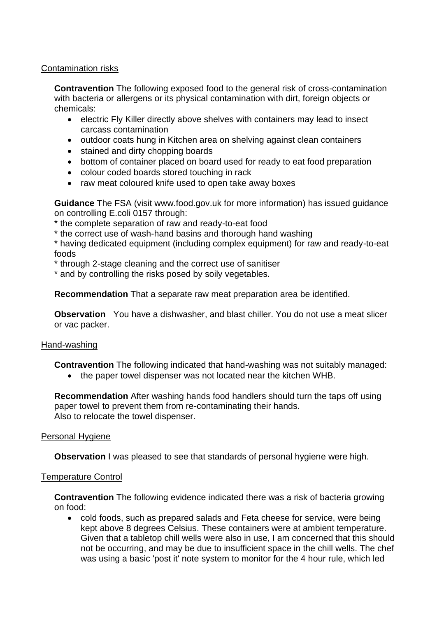### Contamination risks

**Contravention** The following exposed food to the general risk of cross-contamination with bacteria or allergens or its physical contamination with dirt, foreign objects or chemicals:

- electric Fly Killer directly above shelves with containers may lead to insect carcass contamination
- outdoor coats hung in Kitchen area on shelving against clean containers
- stained and dirty chopping boards
- bottom of container placed on board used for ready to eat food preparation
- colour coded boards stored touching in rack
- raw meat coloured knife used to open take away boxes

**Guidance** The FSA (visit www.food.gov.uk for more information) has issued guidance on controlling E.coli 0157 through:

\* the complete separation of raw and ready-to-eat food

\* the correct use of wash-hand basins and thorough hand washing

\* having dedicated equipment (including complex equipment) for raw and ready-to-eat foods

\* through 2-stage cleaning and the correct use of sanitiser

\* and by controlling the risks posed by soily vegetables.

**Recommendation** That a separate raw meat preparation area be identified.

**Observation** You have a dishwasher, and blast chiller. You do not use a meat slicer or vac packer.

#### Hand-washing

**Contravention** The following indicated that hand-washing was not suitably managed:

• the paper towel dispenser was not located near the kitchen WHB.

**Recommendation** After washing hands food handlers should turn the taps off using paper towel to prevent them from re-contaminating their hands. Also to relocate the towel dispenser.

#### Personal Hygiene

**Observation** I was pleased to see that standards of personal hygiene were high.

#### Temperature Control

**Contravention** The following evidence indicated there was a risk of bacteria growing on food:

• cold foods, such as prepared salads and Feta cheese for service, were being kept above 8 degrees Celsius. These containers were at ambient temperature. Given that a tabletop chill wells were also in use, I am concerned that this should not be occurring, and may be due to insufficient space in the chill wells. The chef was using a basic 'post it' note system to monitor for the 4 hour rule, which led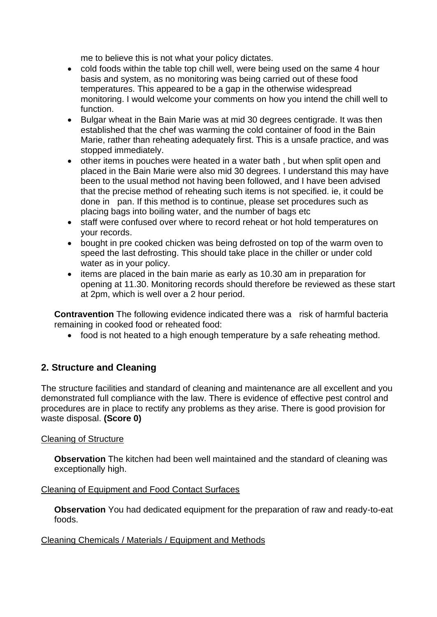me to believe this is not what your policy dictates.

- cold foods within the table top chill well, were being used on the same 4 hour basis and system, as no monitoring was being carried out of these food temperatures. This appeared to be a gap in the otherwise widespread monitoring. I would welcome your comments on how you intend the chill well to function.
- Bulgar wheat in the Bain Marie was at mid 30 degrees centigrade. It was then established that the chef was warming the cold container of food in the Bain Marie, rather than reheating adequately first. This is a unsafe practice, and was stopped immediately.
- other items in pouches were heated in a water bath , but when split open and placed in the Bain Marie were also mid 30 degrees. I understand this may have been to the usual method not having been followed, and I have been advised that the precise method of reheating such items is not specified. ie, it could be done in pan. If this method is to continue, please set procedures such as placing bags into boiling water, and the number of bags etc
- staff were confused over where to record reheat or hot hold temperatures on your records.
- bought in pre cooked chicken was being defrosted on top of the warm oven to speed the last defrosting. This should take place in the chiller or under cold water as in your policy.
- items are placed in the bain marie as early as 10.30 am in preparation for opening at 11.30. Monitoring records should therefore be reviewed as these start at 2pm, which is well over a 2 hour period.

**Contravention** The following evidence indicated there was a risk of harmful bacteria remaining in cooked food or reheated food:

• food is not heated to a high enough temperature by a safe reheating method.

# **2. Structure and Cleaning**

The structure facilities and standard of cleaning and maintenance are all excellent and you demonstrated full compliance with the law. There is evidence of effective pest control and procedures are in place to rectify any problems as they arise. There is good provision for waste disposal. **(Score 0)**

# Cleaning of Structure

**Observation** The kitchen had been well maintained and the standard of cleaning was exceptionally high.

### Cleaning of Equipment and Food Contact Surfaces

**Observation** You had dedicated equipment for the preparation of raw and ready-to-eat foods.

### Cleaning Chemicals / Materials / Equipment and Methods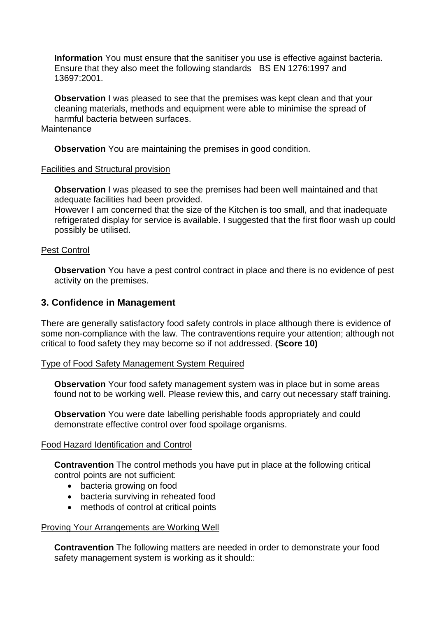**Information** You must ensure that the sanitiser you use is effective against bacteria. Ensure that they also meet the following standards BS EN 1276:1997 and 13697:2001.

**Observation** I was pleased to see that the premises was kept clean and that your cleaning materials, methods and equipment were able to minimise the spread of harmful bacteria between surfaces. **Maintenance** 

**Observation** You are maintaining the premises in good condition.

#### Facilities and Structural provision

**Observation** I was pleased to see the premises had been well maintained and that adequate facilities had been provided.

However I am concerned that the size of the Kitchen is too small, and that inadequate refrigerated display for service is available. I suggested that the first floor wash up could possibly be utilised.

#### Pest Control

**Observation** You have a pest control contract in place and there is no evidence of pest activity on the premises.

### **3. Confidence in Management**

There are generally satisfactory food safety controls in place although there is evidence of some non-compliance with the law. The contraventions require your attention; although not critical to food safety they may become so if not addressed. **(Score 10)**

#### Type of Food Safety Management System Required

**Observation** Your food safety management system was in place but in some areas found not to be working well. Please review this, and carry out necessary staff training.

**Observation** You were date labelling perishable foods appropriately and could demonstrate effective control over food spoilage organisms.

#### Food Hazard Identification and Control

**Contravention** The control methods you have put in place at the following critical control points are not sufficient:

- bacteria growing on food
- bacteria surviving in reheated food
- methods of control at critical points

#### Proving Your Arrangements are Working Well

**Contravention** The following matters are needed in order to demonstrate your food safety management system is working as it should::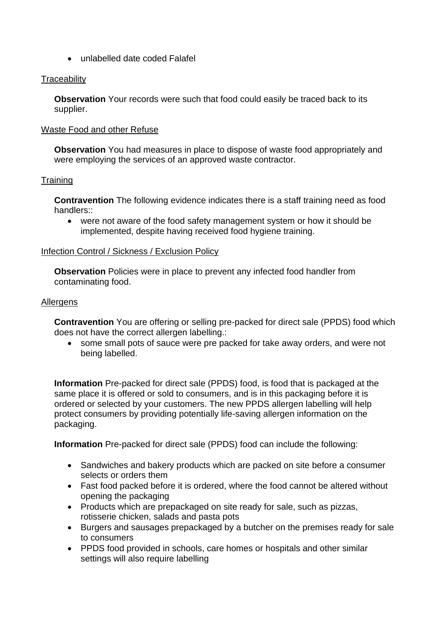• unlabelled date coded Falafel

## **Traceability**

**Observation** Your records were such that food could easily be traced back to its supplier.

## Waste Food and other Refuse

**Observation** You had measures in place to dispose of waste food appropriately and were employing the services of an approved waste contractor.

## **Training**

**Contravention** The following evidence indicates there is a staff training need as food handlers::

• were not aware of the food safety management system or how it should be implemented, despite having received food hygiene training.

### Infection Control / Sickness / Exclusion Policy

**Observation** Policies were in place to prevent any infected food handler from contaminating food.

### **Allergens**

**Contravention** You are offering or selling pre-packed for direct sale (PPDS) food which does not have the correct allergen labelling.:

• some small pots of sauce were pre packed for take away orders, and were not being labelled.

**Information** Pre-packed for direct sale (PPDS) food, is food that is packaged at the same place it is offered or sold to consumers, and is in this packaging before it is ordered or selected by your customers. The new PPDS allergen labelling will help protect consumers by providing potentially life-saving allergen information on the packaging.

**Information** Pre-packed for direct sale (PPDS) food can include the following:

- Sandwiches and bakery products which are packed on site before a consumer selects or orders them
- Fast food packed before it is ordered, where the food cannot be altered without opening the packaging
- Products which are prepackaged on site ready for sale, such as pizzas, rotisserie chicken, salads and pasta pots
- Burgers and sausages prepackaged by a butcher on the premises ready for sale to consumers
- PPDS food provided in schools, care homes or hospitals and other similar settings will also require labelling